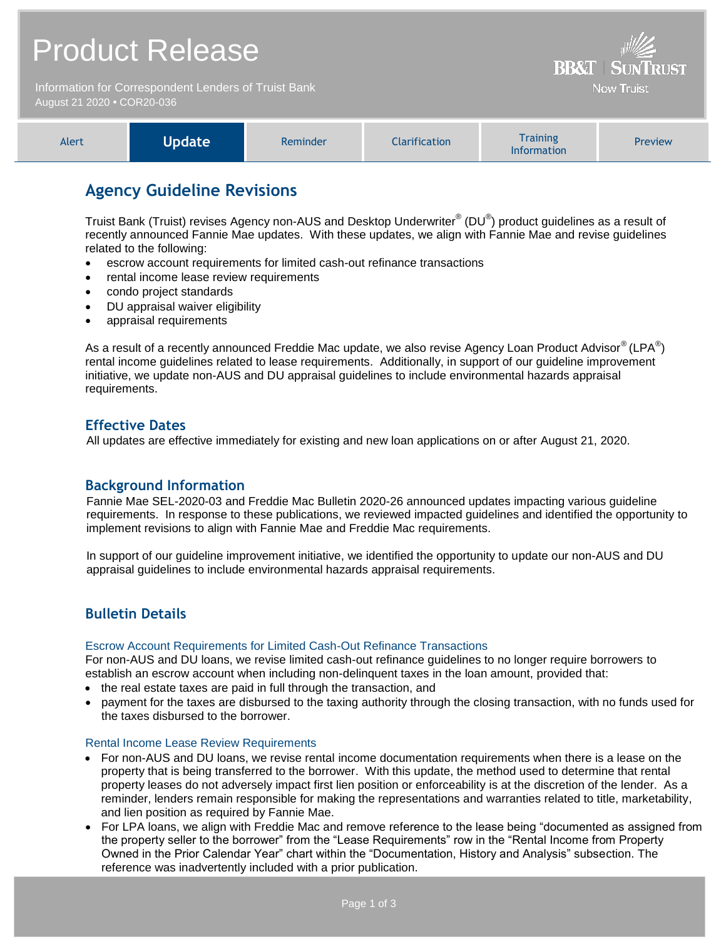## Product Release **RR&T** Information for Correspondent Lenders of Truist Bank **Now Truist** August 21 2020 **•** COR20-036 **Training** Alert **Update** Reminder Clarification Preview

## **Agency Guideline Revisions**

Truist Bank (Truist) revises Agency non-AUS and Desktop Underwriter $^{\circ}$  (DU $^{\circ}$ ) product guidelines as a result of recently announced Fannie Mae updates. With these updates, we align with Fannie Mae and revise guidelines related to the following:

Information

- escrow account requirements for limited cash-out refinance transactions
- rental income lease review requirements
- condo project standards
- DU appraisal waiver eligibility
- appraisal requirements

As a result of a recently announced Freddie Mac update, we also revise Agency Loan Product Advisor $^{\circledR}$  (LPA $^{\circledR}$ ) rental income guidelines related to lease requirements. Additionally, in support of our guideline improvement initiative, we update non-AUS and DU appraisal guidelines to include environmental hazards appraisal requirements.

## **Effective Dates**

All updates are effective immediately for existing and new loan applications on or after August 21, 2020.

## **Background Information**

Fannie Mae SEL-2020-03 and Freddie Mac Bulletin 2020-26 announced updates impacting various guideline requirements. In response to these publications, we reviewed impacted guidelines and identified the opportunity to implement revisions to align with Fannie Mae and Freddie Mac requirements.

In support of our guideline improvement initiative, we identified the opportunity to update our non-AUS and DU appraisal guidelines to include environmental hazards appraisal requirements.

## **Bulletin Details**

#### Escrow Account Requirements for Limited Cash-Out Refinance Transactions

For non-AUS and DU loans, we revise limited cash-out refinance guidelines to no longer require borrowers to establish an escrow account when including non-delinquent taxes in the loan amount, provided that:

- the real estate taxes are paid in full through the transaction, and
- payment for the taxes are disbursed to the taxing authority through the closing transaction, with no funds used for the taxes disbursed to the borrower.

#### Rental Income Lease Review Requirements

- For non-AUS and DU loans, we revise rental income documentation requirements when there is a lease on the property that is being transferred to the borrower. With this update, the method used to determine that rental property leases do not adversely impact first lien position or enforceability is at the discretion of the lender. As a reminder, lenders remain responsible for making the representations and warranties related to title, marketability, and lien position as required by Fannie Mae.
- For LPA loans, we align with Freddie Mac and remove reference to the lease being "documented as assigned from the property seller to the borrower" from the "Lease Requirements" row in the "Rental Income from Property Owned in the Prior Calendar Year" chart within the "Documentation, History and Analysis" subsection. The reference was inadvertently included with a prior publication.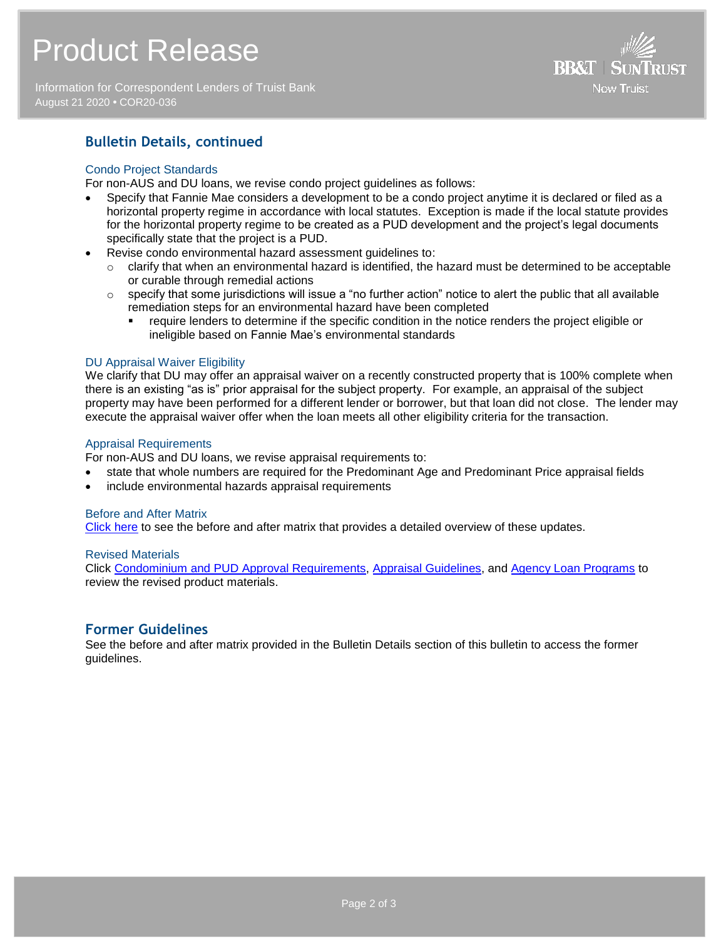# Product Release

Information for Correspondent Lenders of Truist Bank August 21 2020 **•** COR20-036



## **Bulletin Details, continued**

### Condo Project Standards

For non-AUS and DU loans, we revise condo project guidelines as follows:

- Specify that Fannie Mae considers a development to be a condo project anytime it is declared or filed as a horizontal property regime in accordance with local statutes. Exception is made if the local statute provides for the horizontal property regime to be created as a PUD development and the project's legal documents specifically state that the project is a PUD.
- Revise condo environmental hazard assessment guidelines to:
	- $\circ$  clarify that when an environmental hazard is identified, the hazard must be determined to be acceptable or curable through remedial actions
	- $\circ$  specify that some jurisdictions will issue a "no further action" notice to alert the public that all available remediation steps for an environmental hazard have been completed
		- require lenders to determine if the specific condition in the notice renders the project eligible or ineligible based on Fannie Mae's environmental standards

#### DU Appraisal Waiver Eligibility

We clarify that DU may offer an appraisal waiver on a recently constructed property that is 100% complete when there is an existing "as is" prior appraisal for the subject property. For example, an appraisal of the subject property may have been performed for a different lender or borrower, but that loan did not close. The lender may execute the appraisal waiver offer when the loan meets all other eligibility criteria for the transaction.

#### Appraisal Requirements

For non-AUS and DU loans, we revise appraisal requirements to:

- state that whole numbers are required for the Predominant Age and Predominant Price appraisal fields
- include environmental hazards appraisal requirements

#### Before and After Matrix

[Click here](http://www.truistsellerguide.com/manual/cor/products/Cr20-036BA.pdf) to see the before and after matrix that provides a detailed overview of these updates.

#### Revised Materials

Click [Condominium and PUD Approval Requirements,](https://www.truistsellerguide.com/Manual/cor/general/1.06CondoPUD.pdf) [Appraisal Guidelines,](https://www.truistsellerguide.com/Manual/cor/general/1.07Appraisals.pdf) and [Agency Loan Programs](https://www.truistsellerguide.com/manual/cor/products/CAgency.pdf) to review the revised product materials.

## **Former Guidelines**

See the before and after matrix provided in the Bulletin Details section of this bulletin to access the former guidelines.